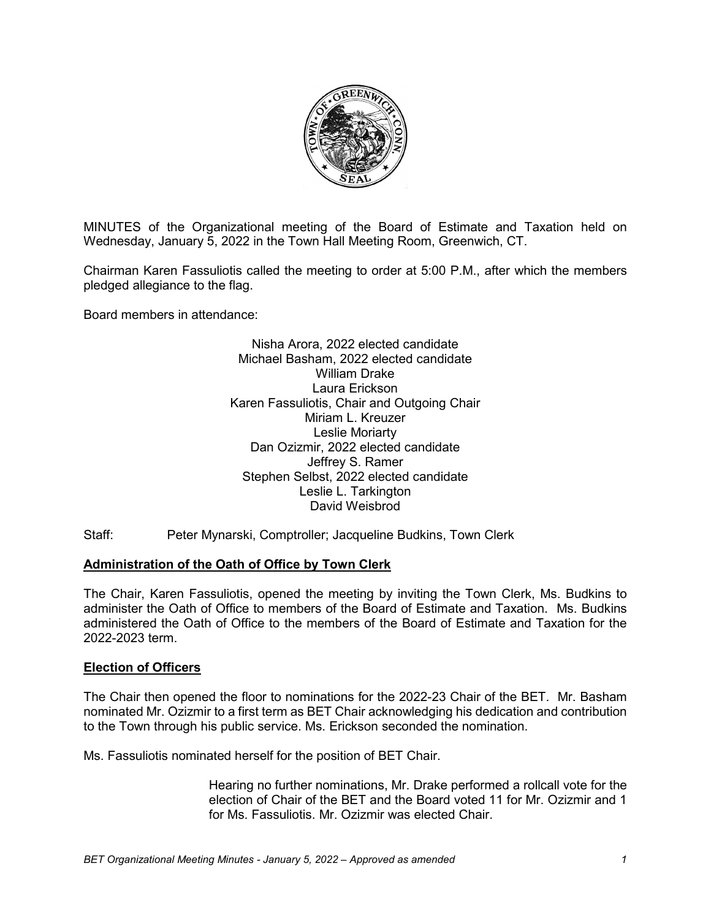

MINUTES of the Organizational meeting of the Board of Estimate and Taxation held on Wednesday, January 5, 2022 in the Town Hall Meeting Room, Greenwich, CT.

Chairman Karen Fassuliotis called the meeting to order at 5:00 P.M., after which the members pledged allegiance to the flag.

Board members in attendance:

Nisha Arora, 2022 elected candidate Michael Basham, 2022 elected candidate William Drake Laura Erickson Karen Fassuliotis, Chair and Outgoing Chair Miriam L. Kreuzer Leslie Moriarty Dan Ozizmir, 2022 elected candidate Jeffrey S. Ramer Stephen Selbst, 2022 elected candidate Leslie L. Tarkington David Weisbrod

Staff: Peter Mynarski, Comptroller; Jacqueline Budkins, Town Clerk

# **Administration of the Oath of Office by Town Clerk**

The Chair, Karen Fassuliotis, opened the meeting by inviting the Town Clerk, Ms. Budkins to administer the Oath of Office to members of the Board of Estimate and Taxation. Ms. Budkins administered the Oath of Office to the members of the Board of Estimate and Taxation for the 2022-2023 term.

#### **Election of Officers**

The Chair then opened the floor to nominations for the 2022-23 Chair of the BET. Mr. Basham nominated Mr. Ozizmir to a first term as BET Chair acknowledging his dedication and contribution to the Town through his public service. Ms. Erickson seconded the nomination.

Ms. Fassuliotis nominated herself for the position of BET Chair.

Hearing no further nominations, Mr. Drake performed a rollcall vote for the election of Chair of the BET and the Board voted 11 for Mr. Ozizmir and 1 for Ms. Fassuliotis. Mr. Ozizmir was elected Chair.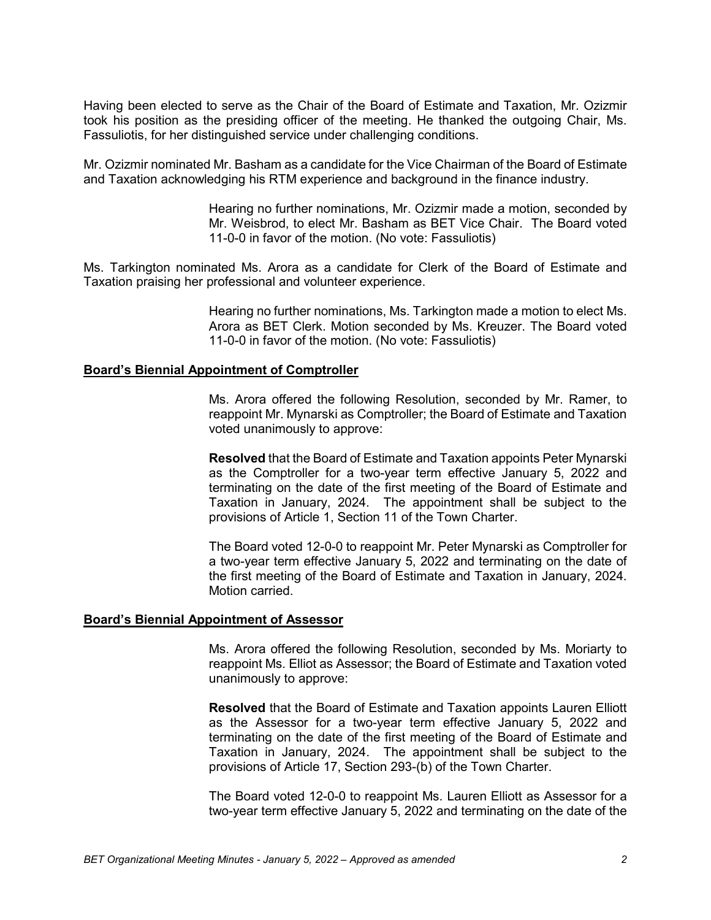Having been elected to serve as the Chair of the Board of Estimate and Taxation, Mr. Ozizmir took his position as the presiding officer of the meeting. He thanked the outgoing Chair, Ms. Fassuliotis, for her distinguished service under challenging conditions.

Mr. Ozizmir nominated Mr. Basham as a candidate for the Vice Chairman of the Board of Estimate and Taxation acknowledging his RTM experience and background in the finance industry.

> Hearing no further nominations, Mr. Ozizmir made a motion, seconded by Mr. Weisbrod, to elect Mr. Basham as BET Vice Chair. The Board voted 11-0-0 in favor of the motion. (No vote: Fassuliotis)

Ms. Tarkington nominated Ms. Arora as a candidate for Clerk of the Board of Estimate and Taxation praising her professional and volunteer experience.

> Hearing no further nominations, Ms. Tarkington made a motion to elect Ms. Arora as BET Clerk. Motion seconded by Ms. Kreuzer. The Board voted 11-0-0 in favor of the motion. (No vote: Fassuliotis)

#### **Board's Biennial Appointment of Comptroller**

Ms. Arora offered the following Resolution, seconded by Mr. Ramer, to reappoint Mr. Mynarski as Comptroller; the Board of Estimate and Taxation voted unanimously to approve:

**Resolved** that the Board of Estimate and Taxation appoints Peter Mynarski as the Comptroller for a two-year term effective January 5, 2022 and terminating on the date of the first meeting of the Board of Estimate and Taxation in January, 2024. The appointment shall be subject to the provisions of Article 1, Section 11 of the Town Charter.

The Board voted 12-0-0 to reappoint Mr. Peter Mynarski as Comptroller for a two-year term effective January 5, 2022 and terminating on the date of the first meeting of the Board of Estimate and Taxation in January, 2024. Motion carried.

#### **Board's Biennial Appointment of Assessor**

Ms. Arora offered the following Resolution, seconded by Ms. Moriarty to reappoint Ms. Elliot as Assessor; the Board of Estimate and Taxation voted unanimously to approve:

**Resolved** that the Board of Estimate and Taxation appoints Lauren Elliott as the Assessor for a two-year term effective January 5, 2022 and terminating on the date of the first meeting of the Board of Estimate and Taxation in January, 2024. The appointment shall be subject to the provisions of Article 17, Section 293-(b) of the Town Charter.

The Board voted 12-0-0 to reappoint Ms. Lauren Elliott as Assessor for a two-year term effective January 5, 2022 and terminating on the date of the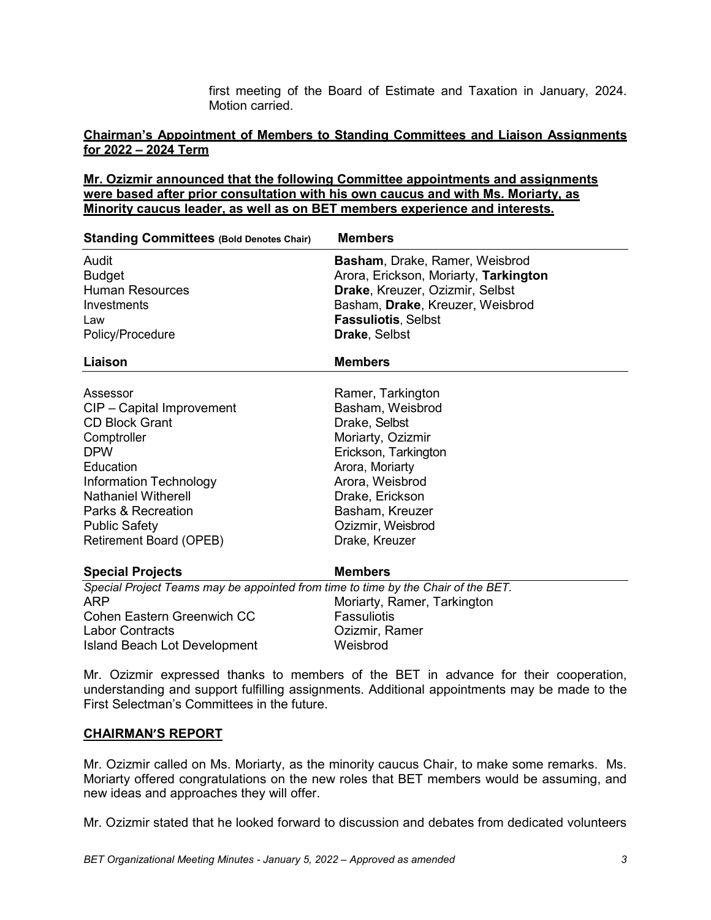first meeting of the Board of Estimate and Taxation in January, 2024. Motion carried.

## **Chairman's Appointment of Members to Standing Committees and Liaison Assignments for 2022 – 2024 Term**

# **Mr. Ozizmir announced that the following Committee appointments and assignments were based after prior consultation with his own caucus and with Ms. Moriarty, as Minority caucus leader, as well as on BET members experience and interests.**

| <b>Standing Committees (Bold Denotes Chair)</b>                                   | <b>Members</b>                        |
|-----------------------------------------------------------------------------------|---------------------------------------|
| Audit                                                                             | Basham, Drake, Ramer, Weisbrod        |
| <b>Budget</b>                                                                     | Arora, Erickson, Moriarty, Tarkington |
| <b>Human Resources</b>                                                            | Drake, Kreuzer, Ozizmir, Selbst       |
| Investments                                                                       | Basham, Drake, Kreuzer, Weisbrod      |
| Law                                                                               | <b>Fassuliotis, Selbst</b>            |
| Policy/Procedure                                                                  | Drake, Selbst                         |
| Liaison                                                                           | <b>Members</b>                        |
| Assessor                                                                          | Ramer, Tarkington                     |
| CIP - Capital Improvement                                                         | Basham, Weisbrod                      |
| <b>CD Block Grant</b>                                                             | Drake, Selbst                         |
| Comptroller                                                                       | Moriarty, Ozizmir                     |
| <b>DPW</b>                                                                        | Erickson, Tarkington                  |
| Education                                                                         | Arora, Moriarty                       |
| <b>Information Technology</b>                                                     | Arora, Weisbrod                       |
| <b>Nathaniel Witherell</b>                                                        | Drake, Erickson                       |
| Parks & Recreation                                                                | Basham, Kreuzer                       |
| <b>Public Safety</b>                                                              | Ozizmir, Weisbrod                     |
| Retirement Board (OPEB)                                                           | Drake, Kreuzer                        |
| <b>Special Projects</b>                                                           | <b>Members</b>                        |
| Special Project Teams may be appointed from time to time by the Chair of the BET. |                                       |
| ARP                                                                               | Moriarty, Ramer, Tarkington           |
| Cohen Eastern Greenwich CC                                                        | <b>Fassuliotis</b>                    |
| <b>Labor Contracts</b>                                                            | Ozizmir, Ramer                        |
| <b>Island Beach Lot Development</b>                                               | Weisbrod                              |

Mr. Ozizmir expressed thanks to members of the BET in advance for their cooperation, understanding and support fulfilling assignments. Additional appointments may be made to the First Selectman's Committees in the future.

### **CHAIRMAN'S REPORT**

Mr. Ozizmir called on Ms. Moriarty, as the minority caucus Chair, to make some remarks. Ms. Moriarty offered congratulations on the new roles that BET members would be assuming, and new ideas and approaches they will offer.

Mr. Ozizmir stated that he looked forward to discussion and debates from dedicated volunteers